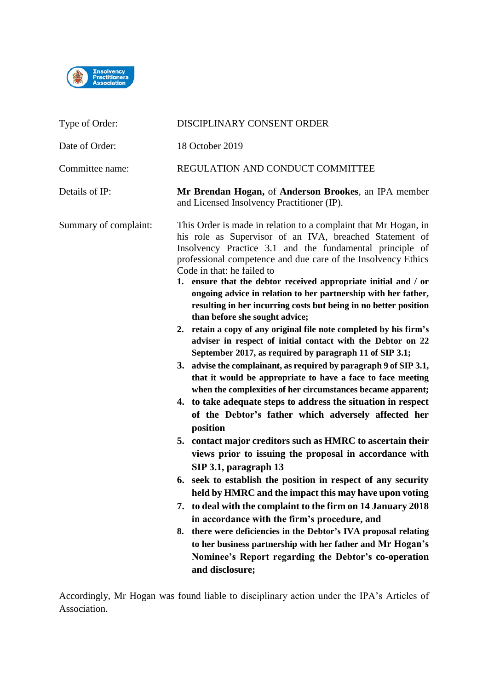

| Type of Order:        | DISCIPLINARY CONSENT ORDER                                                                                                                                                                                                                                                                                                                                                                                                                                                                                                                                                                                                                                                                                                                                                                                                                                                                                                                                                                                                                                                                                                                                                                                                                                                                                                                                                                                                                                                                                                                                                                                                                                     |
|-----------------------|----------------------------------------------------------------------------------------------------------------------------------------------------------------------------------------------------------------------------------------------------------------------------------------------------------------------------------------------------------------------------------------------------------------------------------------------------------------------------------------------------------------------------------------------------------------------------------------------------------------------------------------------------------------------------------------------------------------------------------------------------------------------------------------------------------------------------------------------------------------------------------------------------------------------------------------------------------------------------------------------------------------------------------------------------------------------------------------------------------------------------------------------------------------------------------------------------------------------------------------------------------------------------------------------------------------------------------------------------------------------------------------------------------------------------------------------------------------------------------------------------------------------------------------------------------------------------------------------------------------------------------------------------------------|
| Date of Order:        | 18 October 2019                                                                                                                                                                                                                                                                                                                                                                                                                                                                                                                                                                                                                                                                                                                                                                                                                                                                                                                                                                                                                                                                                                                                                                                                                                                                                                                                                                                                                                                                                                                                                                                                                                                |
| Committee name:       | REGULATION AND CONDUCT COMMITTEE                                                                                                                                                                                                                                                                                                                                                                                                                                                                                                                                                                                                                                                                                                                                                                                                                                                                                                                                                                                                                                                                                                                                                                                                                                                                                                                                                                                                                                                                                                                                                                                                                               |
| Details of IP:        | Mr Brendan Hogan, of Anderson Brookes, an IPA member<br>and Licensed Insolvency Practitioner (IP).                                                                                                                                                                                                                                                                                                                                                                                                                                                                                                                                                                                                                                                                                                                                                                                                                                                                                                                                                                                                                                                                                                                                                                                                                                                                                                                                                                                                                                                                                                                                                             |
| Summary of complaint: | This Order is made in relation to a complaint that Mr Hogan, in<br>his role as Supervisor of an IVA, breached Statement of<br>Insolvency Practice 3.1 and the fundamental principle of<br>professional competence and due care of the Insolvency Ethics<br>Code in that: he failed to<br>1. ensure that the debtor received appropriate initial and / or<br>ongoing advice in relation to her partnership with her father,<br>resulting in her incurring costs but being in no better position<br>than before she sought advice;<br>2. retain a copy of any original file note completed by his firm's<br>adviser in respect of initial contact with the Debtor on 22<br>September 2017, as required by paragraph 11 of SIP 3.1;<br>3. advise the complainant, as required by paragraph 9 of SIP 3.1,<br>that it would be appropriate to have a face to face meeting<br>when the complexities of her circumstances became apparent;<br>4. to take adequate steps to address the situation in respect<br>of the Debtor's father which adversely affected her<br>position<br>5. contact major creditors such as HMRC to ascertain their<br>views prior to issuing the proposal in accordance with<br>SIP 3.1, paragraph 13<br>6. seek to establish the position in respect of any security<br>held by HMRC and the impact this may have upon voting<br>7. to deal with the complaint to the firm on 14 January 2018<br>in accordance with the firm's procedure, and<br>there were deficiencies in the Debtor's IVA proposal relating<br>8.<br>to her business partnership with her father and Mr Hogan's<br>Nominee's Report regarding the Debtor's co-operation |
|                       | and disclosure;                                                                                                                                                                                                                                                                                                                                                                                                                                                                                                                                                                                                                                                                                                                                                                                                                                                                                                                                                                                                                                                                                                                                                                                                                                                                                                                                                                                                                                                                                                                                                                                                                                                |

Accordingly, Mr Hogan was found liable to disciplinary action under the IPA's Articles of Association.